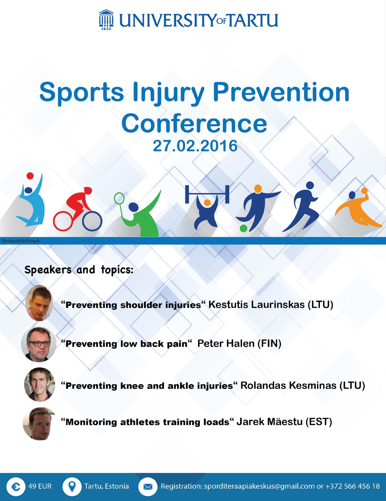

### **Sports Injury Prevention Conference** 27.02.2016



"Preventing shoulder injuries" Kestutis Laurinskas (LTU)

"Preventing low back pain" Peter Halen (FIN)



"Preventing knee and ankle injuries" Rolandas Kesminas (LTU)



"Monitoring athletes training loads" Jarek Mäestu (EST)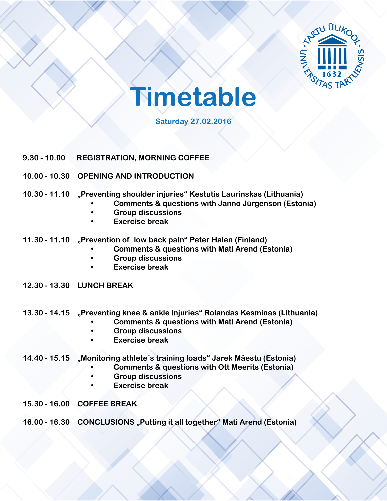



**Saturday 27.02.2016**

- **9.30 10.00 REGISTRATION, MORNING COFFEE**
- **10.00 10.30 OPENING AND INTRODUCTION**
- **10.30 11.10 "Preventing shoulder injuries" Kestutis Laurinskas (Lithuania)** 
	- **• Comments & questions with Janno Jürgenson (Estonia)**
	- **• Group discussions**
	- **• Exercise break**
- **11.30 11.10 "Prevention of low back pain" Peter Halen (Finland)** 
	- **• Comments & questions with Mati Arend (Estonia)**
	- **• Group discussions**
	- **• Exercise break**
- **12.30 13.30 LUNCH BREAK**
- **13.30 14.15 "Preventing knee & ankle injuries" Rolandas Kesminas (Lithuania)** 
	- **• Comments & questions with Mati Arend (Estonia)**
	- **• Group discussions**
	- **• Exercise break**
- **14.40 15.15 "Monitoring athlete´s training loads" Jarek Mäestu (Estonia)** 
	- **• Comments & questions with Ott Meerits (Estonia)**
	- **• Group discussions**
	- **• Exercise break**
- **15.30 16.00 COFFEE BREAK**
- **16.00 16.30 CONCLUSIONS "Putting it all together" Mati Arend (Estonia)**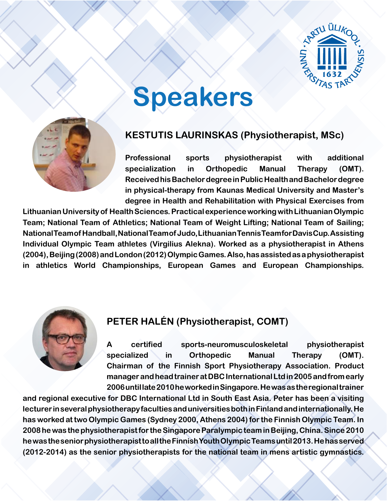

# **Speakers**



### **KESTUTIS LAURINSKAS (Physiotherapist, MSc)**

**Professional sports physiotherapist with additional specialization in Orthopedic Manual Therapy (OMT). Received his Bachelor degree in Public Health and Bachelor degree in physical-therapy from Kaunas Medical University and Master's degree in Health and Rehabilitation with Physical Exercises from** 

**Lithuanian University of Health Sciences. Practical experience working with Lithuanian Olympic Team; National Team of Athletics; National Team of Weight Lifting; National Team of Sailing; National Team of Handball, National Team of Judo, Lithuanian Tennis Team for Davis Cup. Assisting Individual Olympic Team athletes (Virgilius Alekna). Worked as a physiotherapist in Athens (2004), Beijing (2008) and London (2012) Olympic Games. Also, has assisted as a physiotherapist in athletics World Championships, European Games and European Championships.**



### **PETER HALÉN (Physiotherapist, COMT)**

**A certified sports-neuromusculoskeletal physiotherapist specialized in Orthopedic Manual Therapy (OMT). Chairman of the Finnish Sport Physiotherapy Association. Product manager and head trainer at DBC International Ltd in 2005 and from early 2006 until late 2010 he worked in Singapore. He was as the regional trainer** 

**and regional executive for DBC International Ltd in South East Asia. Peter has been a visiting lecturer in several physiotherapy faculties and universities both in Finland and internationally. He has worked at two Olympic Games (Sydney 2000, Athens 2004) for the Finnish Olympic Team. In 2008 he was the physiotherapist for the Singapore Paralympic team in Beijing, China. Since 2010 he was the senior physiotherapist to all the Finnish Youth Olympic Teams until 2013. He has served (2012-2014) as the senior physiotherapists for the national team in mens artistic gymnastics.**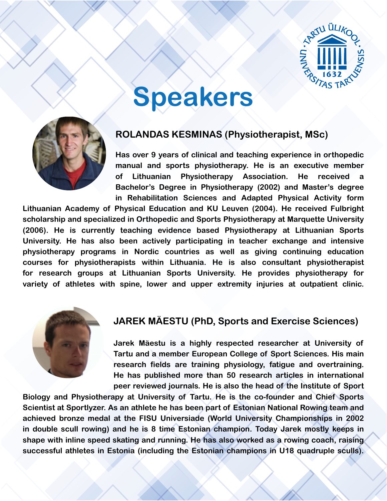

# **Speakers**



#### **ROLANDAS KESMINAS (Physiotherapist, MSc)**

**Has over 9 years of clinical and teaching experience in orthopedic manual and sports physiotherapy. He is an executive member of Lithuanian Physiotherapy Association. He received a Bachelor's Degree in Physiotherapy (2002) and Master's degree in Rehabilitation Sciences and Adapted Physical Activity form** 

**Lithuanian Academy of Physical Education and KU Leuven (2004). He received Fulbright scholarship and specialized in Orthopedic and Sports Physiotherapy at Marquette University (2006). He is currently teaching evidence based Physiotherapy at Lithuanian Sports University. He has also been actively participating in teacher exchange and intensive physiotherapy programs in Nordic countries as well as giving continuing education courses for physiotherapists within Lithuania. He is also consultant physiotherapist for research groups at Lithuanian Sports University. He provides physiotherapy for variety of athletes with spine, lower and upper extremity injuries at outpatient clinic.**



#### **JAREK MÄESTU (PhD, Sports and Exercise Sciences)**

**Jarek Mäestu is a highly respected researcher at University of Tartu and a member European College of Sport Sciences. His main research fields are training physiology, fatigue and overtraining. He has published more than 50 research articles in international peer reviewed journals. He is also the head of the Institute of Sport** 

**Biology and Physiotherapy at University of Tartu. He is the co-founder and Chief Sports Scientist at Sportlyzer. As an athlete he has been part of Estonian National Rowing team and achieved bronze medal at the FISU Universiade (World University Championships in 2002 in double scull rowing) and he is 8 time Estonian champion. Today Jarek mostly keeps in shape with inline speed skating and running. He has also worked as a rowing coach, raising successful athletes in Estonia (including the Estonian champions in U18 quadruple sculls).**